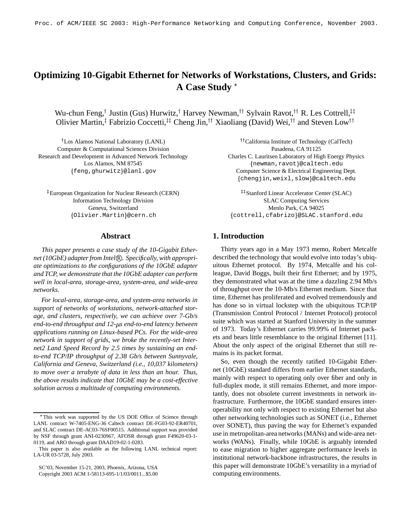# **Optimizing 10-Gigabit Ethernet for Networks of Workstations, Clusters, and Grids: A Case Study**

Wu-chun Feng,† Justin (Gus) Hurwitz,† Harvey Newman,†† Sylvain Ravot,†† R. Les Cottrell,‡‡ Olivier Martin,<sup>‡</sup> Fabrizio Coccetti,<sup>‡‡</sup> Cheng Jin,<sup>††</sup> Xiaoliang (David) Wei,<sup>††</sup> and Steven Low<sup>††</sup>

<sup>†</sup>Los Alamos National Laboratory (LANL) <sup>††</sup>Califo Computer & Computational Sciences Division Pasadena, CA 91125 Research and Development in Advanced Network Technology Charles C. Lauritsen Laboratory of High Energy Physics

<sup>‡</sup>European Organization for Nuclear Research (CERN)  $1+$ Stanfo Information Technology Division SLAC Computing Services

## **Abstract**

*This paper presents a case study of the 10-Gigabit Ethernet (10GbE) adapterfrom Intel* R *. Specifically, with appropriate optimizations to the configurations of the 10GbE adapter and TCP, we demonstrate that the 10GbE adapter can perform well in local-area, storage-area, system-area, and wide-area networks.*

*For local-area, storage-area, and system-area networks in support of networks of workstations, network-attached storage, and clusters, respectively, we can achieve over 7-Gb/s end-to-end throughput and 12-s end-to-end latency between applications running on Linux-based PCs. For the wide-area network in support of grids, we broke the recently-set Internet2 Land Speed Record by 2.5 times by sustaining an endto-end TCP/IP throughput of 2.38 Gb/s between Sunnyvale, California and Geneva, Switzerland (i.e., 10,037 kilometers) to move over a terabyte of data in less than an hour. Thus, the above results indicate that 10GbE may be a cost-effective solution across a multitude of computing environments.*

California Institute of Technology (CalTech) Los Alamos, NM 87545 newman,ravot @caltech.edu feng,ghurwitz @lanl.gov Computer Science & Electrical Engineering Dept. chengjin,weixl,slow @caltech.edu

Stanford Linear Accelerator Center (SLAC) Geneva, Switzerland Menlo Park, CA 94025 Olivier.Martin @cern.ch cottrell,cfabrizo @SLAC.stanford.edu

# **1. Introduction**

Thirty years ago in a May 1973 memo, Robert Metcalfe described the technology that would evolve into today's ubiquitous Ethernet protocol. By 1974, Metcalfe and his colleague, David Boggs, built their first Ethernet; and by 1975, they demonstrated what was at the time a dazzling 2.94 Mb/s of throughput over the 10-Mb/s Ethernet medium. Since that time, Ethernet has proliferated and evolved tremendously and has done so in virtual lockstep with the ubiquitous TCP/IP (Transmission Control Protocol / Internet Protocol) protocol suite which was started at Stanford University in the summer of 1973. Today's Ethernet carries 99.99% of Internet packets and bears little resemblance to the original Ethernet [11]. About the only aspect of the original Ethernet that still remains is its packet format.

So, even though the recently ratified 10-Gigabit Ethernet (10GbE) standard differs from earlier Ethernet standards, mainly with respect to operating only over fiber and only in full-duplex mode, it still remains Ethernet, and more importantly, does not obsolete current investments in network infrastructure. Furthermore, the 10GbE standard ensures interoperability not only with respect to existing Ethernet but also other networking technologies such as SONET (i.e., Ethernet over SONET), thus paving the way for Ethernet's expanded use in metropolitan-area networks(MANs) and wide-area networks (WANs). Finally, while 10GbE is arguably intended to ease migration to higher aggregate performance levels in institutional network-backbone infrastructures, the results in this paper will demonstrate 10GbE's versatility in a myriad of computing environments.

 This work was supported by the US DOE Office of Science through LANL contract W-7405-ENG-36 Caltech contract DE-FG03-92-ER40701, and SLAC contract DE-AC03-76SF00515. Additional support was provided by NSF through grant ANI-0230967, AFOSR through grant F49620-03-1- 0119, and ARO through grant DAAD19-02-1-0283.

This paper is also available as the following LANL technical report: LA-UR 03-5728, July 2003.

SC'03, November 15-21, 2003, Phoenix, Arizona, USA

Copyright 2003 ACM 1-58113-695-1/1/03/0011...\$5.00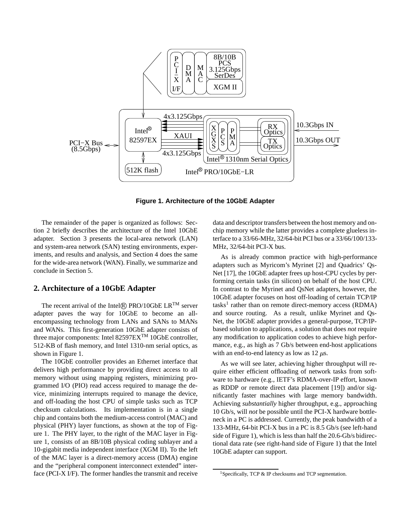

**Figure 1. Architecture of the 10GbE Adapter**

The remainder of the paper is organized as follows: Section 2 briefly describes the architecture of the Intel 10GbE adapter. Section 3 presents the local-area network (LAN) and system-area network (SAN) testing environments, experiments, and results and analysis, and Section 4 does the same for the wide-area network (WAN). Finally, we summarize and conclude in Section 5.

# **2. Architecture of a 10GbE Adapter**

The recent arrival of the Intel $\circledR$  PRO/10GbE LR<sup>TM</sup> server adapter paves the way for 10GbE to become an allencompassing technology from LANs and SANs to MANs and WANs. This first-generation 10GbE adapter consists of three major components: Intel 82597EX<sup>TM</sup> 10GbE controller, 512-KB of flash memory, and Intel 1310-nm serial optics, as shown in Figure 1.

The 10GbE controller provides an Ethernet interface that delivers high performance by providing direct access to all memory without using mapping registers, minimizing programmed I/O (PIO) read access required to manage the device, minimizing interrupts required to manage the device, and off-loading the host CPU of simple tasks such as TCP checksum calculations. Its implementation is in a single chip and contains both the medium-access control (MAC) and physical (PHY) layer functions, as shown at the top of Figure 1. The PHY layer, to the right of the MAC layer in Figure 1, consists of an 8B/10B physical coding sublayer and a 10-gigabit media independent interface (XGM II). To the left of the MAC layer is a direct-memory access (DMA) engine and the "peripheral component interconnect extended" interface (PCI-X I/F). The former handles the transmit and receive data and descriptor transfers between the host memory and onchip memory while the latter provides a complete glueless interface to a 33/66-MHz, 32/64-bit PCI bus or a 33/66/100/133- MHz, 32/64-bit PCI-X bus.

As is already common practice with high-performance adapters such as Myricom's Myrinet [2] and Quadrics' Qs-Net [17], the 10GbE adapter frees up host-CPU cycles by performing certain tasks (in silicon) on behalf of the host CPU. In contrast to the Myrinet and QsNet adapters, however, the 10GbE adapter focuses on host off-loading of certain TCP/IP tasks<sup>1</sup> rather than on remote direct-memory access (RDMA) and source routing. As a result, unlike Myrinet and Qs-Net, the 10GbE adapter provides a general-purpose, TCP/IPbased solution to applications, a solution that does *not* require any modification to application codes to achieve high performance, e.g., as high as 7 Gb/s between end-host applications with an end-to-end latency as low as  $12 \mu s$ .

As we will see later, achieving higher throughput will require either efficient offloading of network tasks from software to hardware (e.g., IETF's RDMA-over-IP effort, known as RDDP or remote direct data placement [19]) and/or significantly faster machines with large memory bandwidth. Achieving *substantially* higher throughput, e.g., approaching 10 Gb/s, will *not* be possible until the PCI-X hardware bottleneck in a PC is addressed. Currently, the peak bandwidth of a 133-MHz, 64-bit PCI-X bus in a PC is 8.5 Gb/s (see left-hand side of Figure 1), which is less than half the 20.6-Gb/s bidirectional data rate (see right-hand side of Figure 1) that the Intel 10GbE adapter can support.

<sup>&</sup>lt;sup>1</sup>Specifically, TCP & IP checksums and TCP segmentation.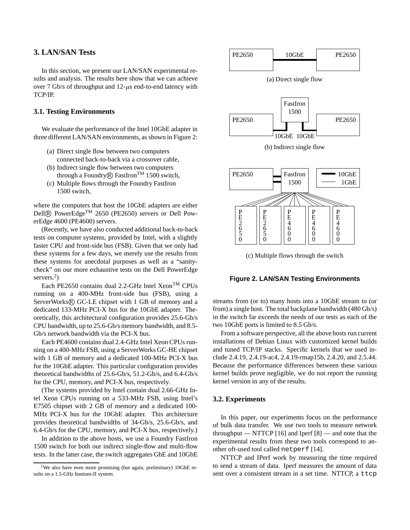# **3. LAN/SAN Tests**

In this section, we present our LAN/SAN experimental results and analysis. The results here show that we can achieve over 7 Gb/s of throughput and  $12-\mu s$  end-to-end latency with TCP/IP.

## **3.1. Testing Environments**

We evaluate the performance of the Intel 10GbE adapter in three different LAN/SAN environments, as shown in Figure 2:

- (a) Direct single flow between two computers connected back-to-back via a crossover cable,
- (b) Indirect single flow between two computers through a Foundry $\circledR$  FastIron<sup>TM</sup> 1500 switch,
- (c) Multiple flows through the Foundry FastIron 1500 switch,

where the computers that host the 10GbE adapters are either Dell® PowerEdge<sup>TM</sup> 2650 (PE2650) servers or Dell PowerEdge 4600 (PE4600) servers.

(Recently, we have also conducted additional back-to-back tests on computer systems, provided by Intel, with a slightly faster CPU and front-side bus (FSB). Given that we only had these systems for a few days, we merely use the results from these systems for anecdotal purposes as well as a "sanitycheck" on our more exhaustive tests on the Dell PowerEdge servers.<sup>2</sup>)

Each PE2650 contains dual 2.2-GHz Intel Xeon<sup>TM</sup> CPUs running on a 400-MHz front-side bus (FSB), using a ServerWorks® GC-LE chipset with 1 GB of memory and a dedicated 133-MHz PCI-X bus for the 10GbE adapter. Theoretically, this architectural configuration provides 25.6-Gb/s CPU bandwidth, up to 25.6-Gb/s memory bandwidth, and 8.5- Gb/s network bandwidth via the PCI-X bus.

Each PE4600 contains dual 2.4-GHz Intel Xeon CPUs running on a 400-MHz FSB, using a ServerWorks GC-HE chipset with 1 GB of memory and a dedicated 100-MHz PCI-X bus for the 10GbE adapter. This particular configuration provides theoretical bandwidths of 25.6-Gb/s, 51.2-Gb/s, and 6.4-Gb/s for the CPU, memory, and PCI-X bus, respectively.

(The systems provided by Intel contain dual 2.66-GHz Intel Xeon CPUs running on a 533-MHz FSB, using Intel's E7505 chipset with 2 GB of memory and a dedicated 100- MHz PCI-X bus for the 10GbE adapter. This architecture provides theoretical bandwidths of 34-Gb/s, 25.6-Gb/s, and 6.4-Gb/s for the CPU, memory, and PCI-X bus, respectively.)

In addition to the above hosts, we use a Foundry FastIron 1500 switch for both our indirect single-flow and multi-flow tests. In the latter case, the switch aggregates GbE and 10GbE



(a) Direct single flow



(b) Indirect single flow



(c) Multiple flows through the switch

### **Figure 2. LAN/SAN Testing Environments**

streams from (or to) many hosts into a 10GbE stream to (or from) a single host. The total backplane bandwidth (480 Gb/s) in the switch far exceeds the needs of our tests as each of the two 10GbE ports is limited to 8.5 Gb/s.

From a software perspective, all the above hosts run current installations of Debian Linux with customized kernel builds and tuned TCP/IP stacks. Specific kernels that we used include 2.4.19, 2.4.19-ac4, 2.4.19-rmap15b, 2.4.20, and 2.5.44. Because the performance differences between these various kernel builds prove negligible, we do not report the running kernel version in any of the results.

#### **3.2. Experiments**

In this paper, our experiments focus on the performance of bulk data transfer. We use two tools to measure network throughput — NTTCP [16] and Iperf [8] — and note that the experimental results from these two tools correspond to another oft-used tool called netperf [14].

NTTCP and IPerf work by measuring the time required to send a stream of data. Iperf measures the amount of data sent over a consistent stream in a set time. NTTCP, a ttcp

 $2$ We also have even more promising (but again, preliminary) 10GbE results on a 1.5-GHz Itanium-II system.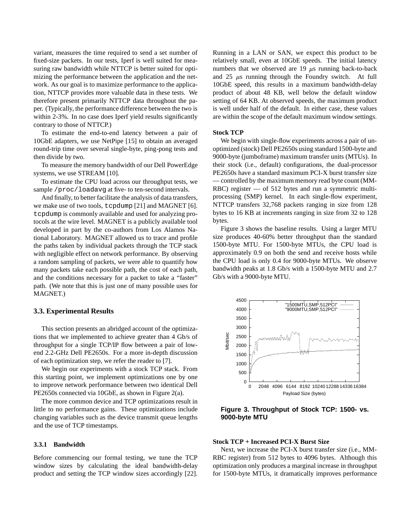variant, measures the time required to send a set number of fixed-size packets. In our tests, Iperf is well suited for measuring raw bandwidth while NTTCP is better suited for optimizing the performance between the application and the network. As our goal is to maximize performance to the application, NTTCP provides more valuable data in these tests. We therefore present primarily NTTCP data throughout the paper. (Typically, the performance difference between the two is within 2-3%. In no case does Iperf yield results significantly contrary to those of NTTCP.)

To estimate the end-to-end latency between a pair of 10GbE adapters, we use NetPipe [15] to obtain an averaged round-trip time over several single-byte, ping-pong tests and then divide by two.

To measure the memory bandwidth of our Dell PowerEdge systems, we use STREAM [10].

To estimate the CPU load across our throughput tests, we sample /proc/loadavg at five- to ten-second intervals.

And finally, to better facilitate the analysis of data transfers, we make use of two tools, tcpdump [21] and MAGNET [6]. tcpdump is commonly available and used for analyzing protocols at the wire level. MAGNET is a publicly available tool developed in part by the co-authors from Los Alamos National Laboratory. MAGNET allowed us to trace and profile the paths taken by individual packets through the TCP stack with negligible effect on network performance. By observing a random sampling of packets, we were able to quantify how many packets take each possible path, the cost of each path, and the conditions necessary for a packet to take a "faster" path. (We note that this is just one of many possible uses for MAGNET.)

## **3.3. Experimental Results**

This section presents an abridged account of the optimizations that we implemented to achieve greater than 4 Gb/s of throughput for a single TCP/IP flow between a pair of lowend 2.2-GHz Dell PE2650s. For a more in-depth discussion of each optimization step, we refer the reader to [7].

We begin our experiments with a stock TCP stack. From this starting point, we implement optimizations one by one to improve network performance between two identical Dell PE2650s connected via 10GbE, as shown in Figure 2(a).

The more common device and TCP optimizations result in little to no performance gains. These optimizations include changing variables such as the device transmit queue lengths and the use of TCP timestamps.

### **3.3.1 Bandwidth**

Before commencing our formal testing, we tune the TCP window sizes by calculating the ideal bandwidth-delay product and setting the TCP window sizes accordingly [22].

Running in a LAN or SAN, we expect this product to be relatively small, even at 10GbE speeds. The initial latency numbers that we observed are  $19 \mu s$  running back-to-back and  $25 \mu s$  running through the Foundry switch. At full 10GbE speed, this results in a maximum bandwidth-delay product of about 48 KB, well below the default window setting of 64 KB. At observed speeds, the maximum product is well under half of the default. In either case, these values are within the scope of the default maximum window settings.

## **Stock TCP**

We begin with single-flow experiments across a pair of unoptimized (stock) Dell PE2650s using standard 1500-byte and 9000-byte (jumboframe) maximum transfer units (MTUs). In their stock (i.e., default) configurations, the dual-processor PE2650s have a standard maximum PCI-X burst transfer size — controlled by the maximum memory read byte count (MM-RBC) register — of 512 bytes and run a symmetric multiprocessing (SMP) kernel. In each single-flow experiment, NTTCP transfers 32,768 packets ranging in size from 128 bytes to 16 KB at increments ranging in size from 32 to 128 bytes.

Figure 3 shows the baseline results. Using a larger MTU size produces 40-60% better throughput than the standard 1500-byte MTU. For 1500-byte MTUs, the CPU load is approximately 0.9 on both the send and receive hosts while the CPU load is only 0.4 for 9000-byte MTUs. We observe bandwidth peaks at 1.8 Gb/s with a 1500-byte MTU and 2.7 Gb/s with a 9000-byte MTU.



**Figure 3. Throughput of Stock TCP: 1500- vs. 9000-byte MTU**

## **Stock TCP + Increased PCI-X Burst Size**

Next, we increase the PCI-X burst transfer size (i.e., MM-RBC register) from 512 bytes to 4096 bytes. Although this optimization only produces a marginal increase in throughput for 1500-byte MTUs, it dramatically improves performance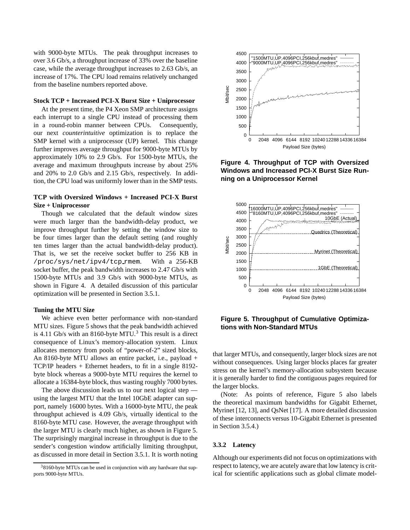with 9000-byte MTUs. The peak throughput increases to over 3.6 Gb/s, a throughput increase of 33% over the baseline case, while the average throughput increases to 2.63 Gb/s, an increase of 17%. The CPU load remains relatively unchanged from the baseline numbers reported above.

## **Stock TCP + Increased PCI-X Burst Size + Uniprocessor**

At the present time, the P4 Xeon SMP architecture assigns each interrupt to a single CPU instead of processing them in a round-robin manner between CPUs. Consequently, our next *counterintuitive* optimization is to replace the SMP kernel with a uniprocessor (UP) kernel. This change further improves average throughput for 9000-byte MTUs by approximately 10% to 2.9 Gb/s. For 1500-byte MTUs, the average and maximum throughputs increase by about 25% and 20% to 2.0 Gb/s and 2.15 Gb/s, respectively. In addition, the CPU load was uniformly lower than in the SMP tests.

## **TCP with Oversized Windows + Increased PCI-X Burst Size + Uniprocessor**

Though we calculated that the default window sizes were much larger than the bandwidth-delay product, we improve throughput further by setting the window size to be four times larger than the default setting (and roughly ten times larger than the actual bandwidth-delay product). That is, we set the receive socket buffer to 256 KB in /proc/sys/net/ipv4/tcp rmem. With a 256-KB socket buffer, the peak bandwidth increases to 2.47 Gb/s with 1500-byte MTUs and 3.9 Gb/s with 9000-byte MTUs, as shown in Figure 4. A detailed discussion of this particular optimization will be presented in Section 3.5.1.

#### **Tuning the MTU Size**

We achieve even better performance with non-standard MTU sizes. Figure 5 shows that the peak bandwidth achieved is 4.11 Gb/s with an 8160-byte  $MTU<sup>3</sup>$ . This result is a direct consequence of Linux's memory-allocation system. Linux allocates memory from pools of "power-of-2" sized blocks, An 8160-byte MTU allows an entire packet, i.e., payload + TCP/IP headers + Ethernet headers, to fit in a single 8192 byte block whereas a 9000-byte MTU requires the kernel to allocate a 16384-byte block, thus wasting roughly 7000 bytes.

The above discussion leads us to our next logical step using the largest MTU that the Intel 10GbE adapter can support, namely 16000 bytes. With a 16000-byte MTU, the peak throughput achieved is 4.09 Gb/s, virtually identical to the 8160-byte MTU case. However, the average throughput with the larger MTU is clearly much higher, as shown in Figure 5. The surprisingly marginal increase in throughput is due to the sender's congestion window artificially limiting throughput, as discussed in more detail in Section 3.5.1. It is worth noting



**Figure 4. Throughput of TCP with Oversized Windows and Increased PCI-X Burst Size Running on a Uniprocessor Kernel**



**Figure 5. Throughput of Cumulative Optimizations with Non-Standard MTUs**

that larger MTUs, and consequently, larger block sizes are not without consequences. Using larger blocks places far greater stress on the kernel's memory-allocation subsystem because it is generally harder to find the contiguous pages required for the larger blocks.

(Note: As points of reference, Figure 5 also labels the theoretical maximum bandwidths for Gigabit Ethernet, Myrinet [12, 13], and QsNet [17]. A more detailed discussion of these interconnects versus 10-Gigabit Ethernet is presented in Section 3.5.4.)

## **3.3.2 Latency**

Although our experiments did not focus on optimizations with respect to latency, we are acutely aware that low latency is critical for scientific applications such as global climate model-

<sup>3</sup>8160-byte MTUs can be used in conjunction with any hardware that supports 9000-byte MTUs.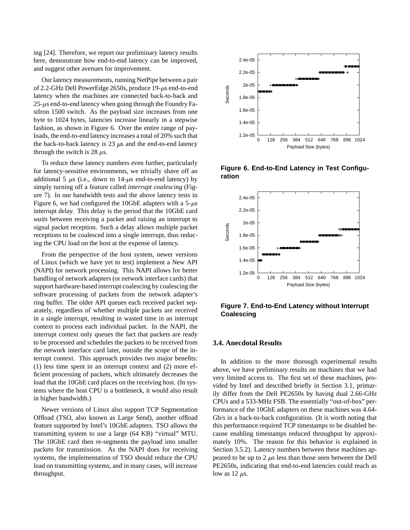ing [24]. Therefore, we report our preliminary latency results here, demonstrate how end-to-end latency can be improved, and suggest other avenues for improvement.

Our latency measurements, running NetPipe between a pair of 2.2-GHz Dell PowerEdge 2650s, produce  $19$ - $\mu$ s end-to-end latency when the machines are connected back-to-back and  $25$ -us end-to-end latency when going through the Foundry FastIron 1500 switch. As the payload size increases from one byte to 1024 bytes, latencies increase linearly in a stepwise fashion, as shown in Figure 6. Over the entire range of payloads, the end-to-end latency increases a total of 20% such that the back-to-back latency is 23  $\mu$ s and the end-to-end latency through the switch is 28  $\mu$ s.

To reduce these latency numbers even further, particularly for latency-sensitive environments, we trivially shave off an additional 5  $\mu$ s (i.e., down to 14- $\mu$ s end-to-end latency) by simply turning off a feature called *interrupt coalescing* (Figure 7). In our bandwidth tests and the above latency tests in Figure 6, we had configured the 10GbE adapters with a  $5-\mu s$ interrupt delay. This delay is the period that the 10GbE card *waits* between receiving a packet and raising an interrupt to signal packet reception. Such a delay allows multiple packet receptions to be coalesced into a single interrupt, thus reducing the CPU load on the host at the expense of latency.

From the perspective of the host system, newer versions of Linux (which we have yet to test) implement a New API (NAPI) for network processing. This NAPI allows for better handling of network adapters (or network interface cards) that support hardware-based interrupt coalescing by coalescing the software processing of packets from the network adapter's ring buffer. The older API queues each received packet separately, regardless of whether multiple packets are received in a single interrupt, resulting in wasted time in an interrupt context to process each individual packet. In the NAPI, the interrupt context only queues the fact that packets are ready to be processed and schedules the packets to be received from the network interface card later, outside the scope of the interrupt context. This approach provides two major benefits: (1) less time spent in an interrupt context and (2) more efficient processing of packets, which ultimately decreases the load that the 10GbE card places on the receiving host. (In systems where the host CPU is a bottleneck, it would also result in higher bandwidth.)

Newer versions of Linux also support TCP Segmentation Offload (TSO, also known as Large Send), another offload feature supported by Intel's 10GbE adapters. TSO allows the transmitting system to use a large (64 KB) "virtual" MTU. The 10GbE card then re-segments the payload into smaller packets for transmission. As the NAPI does for receiving systems, the implementation of TSO should reduce the CPU load on transmitting systems, and in many cases, will increase throughput.



**Figure 6. End-to-End Latency in Test Configuration**



**Figure 7. End-to-End Latency without Interrupt Coalescing**

## **3.4. Anecdotal Results**

In addition to the more thorough experimental results above, we have preliminary results on machines that we had very limited access to. The first set of these machines, provided by Intel and described briefly in Section 3.1, primarily differ from the Dell PE2650s by having dual 2.66-GHz CPUs and a 533-MHz FSB. The essentially "out-of-box" performance of the 10GbE adapters on these machines was 4.64- Gb/s in a back-to-back configuration. (It is worth noting that this performance required TCP timestamps to be disabled because enabling timestamps reduced throughput by approximately 10%. The reason for this behavior is explained in Section 3.5.2). Latency numbers between these machines appeared to be up to  $2 \mu s$  less than those seen between the Dell PE2650s, indicating that end-to-end latencies could reach as low as 12  $\mu$ s.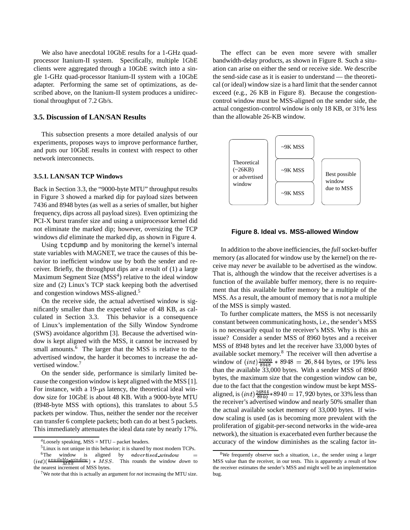We also have anecdotal 10GbE results for a 1-GHz quadprocessor Itanium-II system. Specifically, multiple 1GbE clients were aggregated through a 10GbE switch into a single 1-GHz quad-processor Itanium-II system with a 10GbE adapter. Performing the same set of optimizations, as described above, on the Itanium-II system produces a unidirectional throughput of 7.2 Gb/s.

## **3.5. Discussion of LAN/SAN Results**

This subsection presents a more detailed analysis of our experiments, proposes ways to improve performance further, and puts our 10GbE results in context with respect to other network interconnects.

## **3.5.1. LAN/SAN TCP Windows**

Back in Section 3.3, the "9000-byte MTU" throughput results in Figure 3 showed a marked dip for payload sizes between 7436 and 8948 bytes (as well as a series of smaller, but higher frequency, dips across all payload sizes). Even optimizing the PCI-X burst transfer size and using a uniprocessor kernel did not eliminate the marked dip; however, oversizing the TCP windows *did* eliminate the marked dip, as shown in Figure 4.

Using tcpdump and by monitoring the kernel's internal state variables with MAGNET, we trace the causes of this behavior to inefficient window use by both the sender and receiver. Briefly, the throughput dips are a result of (1) a large Maximum Segment Size (MSS<sup>4</sup>) relative to the ideal window size and (2) Linux's TCP stack keeping both the advertised and congestion windows MSS-aligned.<sup>5</sup>

On the receive side, the actual advertised window is significantly smaller than the expected value of 48 KB, as calculated in Section 3.3. This behavior is a consequence of Linux's implementation of the Silly Window Syndrome (SWS) avoidance algorithm [3]. Because the advertised window is kept aligned with the MSS, it cannot be increased by small amounts.<sup>6</sup> The larger that the MSS is relative to the advertised window, the harder it becomes to increase the advertised window. 7

On the sender side, performance is similarly limited because the congestion window is kept aligned with the MSS [1]. For instance, with a  $19-\mu s$  latency, the theoretical ideal window size for 10GbE is about 48 KB. With a 9000-byte MTU (8948-byte MSS with options), this translates to about 5.5 packets per window. Thus, neither the sender nor the receiver can transfer 6 complete packets; both can do at best 5 packets. This immediately attenuates the ideal data rate by nearly 17%.

The effect can be even more severe with smaller bandwidth-delay products, as shown in Figure 8. Such a situation can arise on either the send or receive side. We describe the send-side case as it is easier to understand — the theoretical (or ideal) window size is a hard limit that the sender cannot exceed (e.g., 26 KB in Figure 8). Because the congestioncontrol window must be MSS-aligned on the sender side, the actual congestion-control window is only 18 KB, or 31% less than the allowable 26-KB window.



#### **Figure 8. Ideal vs. MSS-allowed Window**

In addition to the above inefficiencies, the *full* socket-buffer memory (as allocated for window use by the kernel) on the receive may *never* be available to be advertised as the window. That is, although the window that the receiver advertises is a function of the available buffer memory, there is no requirement that this available buffer memory be a multiple of the MSS. As a result, the amount of memory that is *not* a multiple of the MSS is simply wasted.

To further complicate matters, the MSS is not necessarily constant between communicating hosts, i.e., the sender's MSS is no necessarily equal to the receiver's MSS. Why is this an issue? Consider a sender MSS of 8960 bytes and a receiver MSS of 8948 bytes and let the receiver have 33,000 bytes of available socket memory. <sup>8</sup> The receiver will then advertise a window of  $(int) \frac{33000}{8948} * 8948 = 26,844$  bytes, or 19% less than the available 33,000 bytes. With a sender MSS of 8960 bytes, the maximum size that the congestion window can be, due to the fact that the congestion window must be kept MSSaligned, is  $(int) \frac{26844}{8940} * 8940 = 17,920$  bytes, or 33% less than the receiver's advertised window and nearly 50% smaller than the actual available socket memory of 33,000 bytes. If window scaling is used (as is becoming more prevalent with the proliferation of gigabit-per-second networks in the wide-area network), the situation is exacerbated even further because the accuracy of the window diminishes as the scaling factor in-

 $4$ Loosely speaking, MSS = MTU – packet headers.

<sup>5</sup>Linux is not unique in this behavior; it is shared by most modern TCPs.  ${}^{6}$ The window is aligned  $\cdots$   $\cdots$   $\cdots$   $\cdots$   $\cdots$   $\cdots$   $\cdots$   $\cdots$   $\cdots$ 

This rounds the window *down* to the nearest increment of MSS bytes.

<sup>7</sup>We note that this is actually an argument for *not* increasing the MTU size.

<sup>8</sup>We frequently observe such a situation, i.e., the sender using a larger MSS value than the receiver, in our tests. This is apparently a result of how the receiver estimates the sender's MSS and might well be an implementation bug.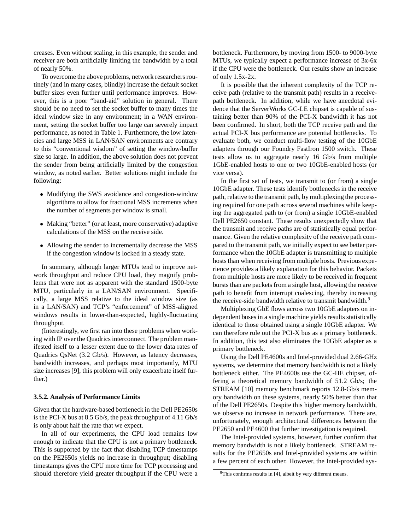creases. Even without scaling, in this example, the sender and receiver are both artificially limiting the bandwidth by a total of nearly 50%.

To overcome the above problems, network researchers routinely (and in many cases, blindly) increase the default socket buffer sizes even further until performance improves. However, this is a poor "band-aid" solution in general. There should be no need to set the socket buffer to many times the ideal window size in any environment; in a WAN environment, setting the socket buffer too large can severely impact performance, as noted in Table 1. Furthermore, the low latencies and large MSS in LAN/SAN environments are contrary to this "conventional wisdom" of setting the window/buffer size so large. In addition, the above solution does not prevent the sender from being artificially limited by the congestion window, as noted earlier. Better solutions might include the following:

- Modifying the SWS avoidance and congestion-window algorithms to allow for fractional MSS increments when the number of segments per window is small.
- Making "better" (or at least, more conservative) adaptive calculations of the MSS on the receive side.
- Allowing the sender to incrementally decrease the MSS if the congestion window is locked in a steady state.

In summary, although larger MTUs tend to improve network throughput and reduce CPU load, they magnify problems that were not as apparent with the standard 1500-byte MTU, particularly in a LAN/SAN environment. Specifically, a large MSS relative to the ideal window size (as in a LAN/SAN) and TCP's "enforcement" of MSS-aligned windows results in lower-than-expected, highly-fluctuating throughput.

(Interestingly, we first ran into these problems when working with IP over the Quadrics interconnect. The problem manifested itself to a lesser extent due to the lower data rates of Quadrics QsNet (3.2 Gb/s). However, as latency decreases, bandwidth increases, and perhaps most importantly, MTU size increases [9], this problem will only exacerbate itself further.)

## **3.5.2. Analysis of Performance Limits**

Given that the hardware-based bottleneck in the Dell PE2650s is the PCI-X bus at 8.5 Gb/s, the peak throughput of 4.11 Gb/s is only about half the rate that we expect.

In all of our experiments, the CPU load remains low enough to indicate that the CPU is not a primary bottleneck. This is supported by the fact that disabling TCP timestamps on the PE2650s yields no increase in throughput; disabling timestamps gives the CPU more time for TCP processing and should therefore yield greater throughput if the CPU were a bottleneck. Furthermore, by moving from 1500- to 9000-byte MTUs, we typically expect a performance increase of 3x-6x if the CPU were the bottleneck. Our results show an increase of only 1.5x-2x.

It is possible that the inherent complexity of the TCP receive path (relative to the transmit path) results in a receivepath bottleneck. In addition, while we have anecdotal evidence that the ServerWorks GC-LE chipset is capable of sustaining better than 90% of the PCI-X bandwidth it has not been confirmed. In short, both the TCP receive path and the actual PCI-X bus performance are potential bottlenecks. To evaluate both, we conduct multi-flow testing of the 10GbE adapters through our Foundry FastIron 1500 switch. These tests allow us to aggregate nearly 16 Gb/s from multiple 1GbE-enabled hosts to one or two 10GbE-enabled hosts (or vice versa).

In the first set of tests, we transmit to (or from) a single 10GbE adapter. These tests identify bottlenecks in the receive path, relative to the transmit path, by multiplexing the processing required for one path across several machines while keeping the aggregated path to (or from) a single 10GbE-enabled Dell PE2650 constant. These results unexpectedly show that the transmit and receive paths are of statistically equal performance. Given the relative complexity of the receive path compared to the transmit path, we initially expect to see better performance when the 10GbE adapter is transmitting to multiple hosts than when receiving from multiple hosts. Previous experience provides a likely explanation for this behavior. Packets from multiple hosts are more likely to be received in frequent bursts than are packets from a single host, allowing the receive path to benefit from interrupt coalescing, thereby increasing the receive-side bandwidth relative to transmit bandwidth.<sup>9</sup>

Multiplexing GbE flows across two 10GbE adapters on independent buses in a single machine yields results statistically identical to those obtained using a single 10GbE adapter. We can therefore rule out the PCI-X bus as a primary bottleneck. In addition, this test also eliminates the 10GbE adapter as a primary bottleneck.

Using the Dell PE4600s and Intel-provided dual 2.66-GHz systems, we determine that memory bandwidth is not a likely bottleneck either. The PE4600s use the GC-HE chipset, offering a theoretical memory bandwidth of 51.2 Gb/s; the STREAM [10] memory benchmark reports 12.8-Gb/s memory bandwidth on these systems, nearly 50% better than that of the Dell PE2650s. Despite this higher memory bandwidth, we observe no increase in network performance. There are, unfortunately, enough architectural differences between the PE2650 and PE4600 that further investigation is required.

The Intel-provided systems, however, further confirm that memory bandwidth is not a likely bottleneck. STREAM results for the PE2650s and Intel-provided systems are within a few percent of each other. However, the Intel-provided sys-

 $9$ This confirms results in [4], albeit by very different means.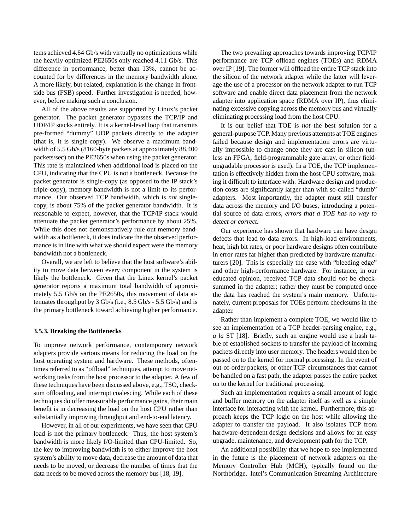tems achieved 4.64 Gb/s with virtually no optimizations while the heavily optimized PE2650s only reached 4.11 Gb/s. This difference in performance, better than 13%, cannot be accounted for by differences in the memory bandwidth alone. A more likely, but related, explanation is the change in frontside bus (FSB) speed. Further investigation is needed, however, before making such a conclusion.

All of the above results are supported by Linux's packet generator. The packet generator bypasses the TCP/IP and UDP/IP stacks entirely. It is a kernel-level loop that transmits pre-formed "dummy" UDP packets directly to the adapter (that is, it is single-copy). We observe a maximum bandwidth of 5.5 Gb/s (8160-byte packets at approximately 88,400 packets/sec) on the PE2650s when using the packet generator. This rate is maintained when additional load is placed on the CPU, indicating that the CPU is not a bottleneck. Because the packet generator is single-copy (as opposed to the IP stack's triple-copy), memory bandwidth is not a limit to its performance. Our observed TCP bandwidth, which is *not* singlecopy, is about 75% of the packet generator bandwidth. It is reasonable to expect, however, that the TCP/IP stack would attenuate the packet generator's performance by about 25%. While this does not demonstratively rule out memory bandwidth as a bottleneck, it does indicate the the observed performance is in line with what we should expect were the memory bandwidth not a bottleneck.

Overall, we are left to believe that the host software's ability to move data between every component in the system is likely the bottleneck. Given that the Linux kernel's packet generator reports a maximum total bandwidth of approximately 5.5 Gb/s on the PE2650s, this movement of data attenuates throughput by 3 Gb/s (i.e., 8.5 Gb/s - 5.5 Gb/s) and is the primary bottleneck toward achieving higher performance.

#### **3.5.3. Breaking the Bottlenecks**

To improve network performance, contemporary network adapters provide various means for reducing the load on the host operating system and hardware. These methods, oftentimes referred to as "offload" techniques, attempt to move networking tasks from the host processor to the adapter. A few of these techniques have been discussed above, e.g., TSO, checksum offloading, and interrupt coalescing. While each of these techniques do offer measurable performance gains, their main benefit is in decreasing the load on the host CPU rather than substantially improving throughput and end-to-end latency.

However, in all of our experiments, we have seen that CPU load is not the primary bottleneck. Thus, the host system's bandwidth is more likely I/O-limited than CPU-limited. So, the key to improving bandwidth is to either improve the host system's ability to move data, decrease the amount of data that needs to be moved, or decrease the number of times that the data needs to be moved across the memory bus [18, 19].

The two prevailing approaches towards improving TCP/IP performance are TCP offload engines (TOEs) and RDMA over IP [19]. The former will offload the entire TCP stack into the silicon of the network adapter while the latter will leverage the use of a processor on the network adapter to run TCP software and enable direct data placement from the network adapter into application space (RDMA over IP), thus eliminating excessive copying across the memory bus and virtually eliminating processing load from the host CPU.

It is our belief that TOE is *not* the best solution for a general-purposeTCP. Many previous attempts at TOE engines failed because design and implementation errors are virtually impossible to change once they are cast in silicon (unless an FPGA, field-programmable gate array, or other fieldupgradable processor is used). In a TOE, the TCP implementation is effectively hidden from the host CPU software, making it difficult to interface with. Hardware design and production costs are significantly larger than with so-called "dumb" adapters. Most importantly, the adapter must still transfer data across the memory and I/O buses, introducing a potential source of data errors, *errors that a TOE has no way to detect or correct*.

Our experience has shown that hardware can have design defects that lead to data errors. In high-load environments, heat, high bit rates, or poor hardware designs often contribute in error rates far higher than predicted by hardware manufacturers [20]. This is especially the case with "bleeding edge" and other high-performance hardware. For instance, in our educated opinion, received TCP data should *not* be checksummed in the adapter; rather they must be computed once the data has reached the system's main memory. Unfortunately, current proposals for TOEs perform checksums in the adapter.

Rather than implement a complete TOE, we would like to see an implementation of a TCP header-parsing engine, e.g., *a la* ST [18]. Briefly, such an engine would use a hash table of established sockets to transfer the payload of incoming packets directly into user memory. The headers would then be passed on to the kernel for normal processing. In the event of out-of-order packets, or other TCP circumstances that cannot be handled on a fast path, the adapter passes the entire packet on to the kernel for traditional processing.

Such an implementation requires a small amount of logic and buffer memory on the adapter itself as well as a simple interface for interacting with the kernel. Furthermore, this approach keeps the TCP logic on the host while allowing the adapter to transfer the payload. It also isolates TCP from hardware-dependent design decisions and allows for an easy upgrade, maintenance, and development path for the TCP.

An additional possibility that we hope to see implemented in the future is the placement of network adapters on the Memory Controller Hub (MCH), typically found on the Northbridge. Intel's Communication Streaming Architecture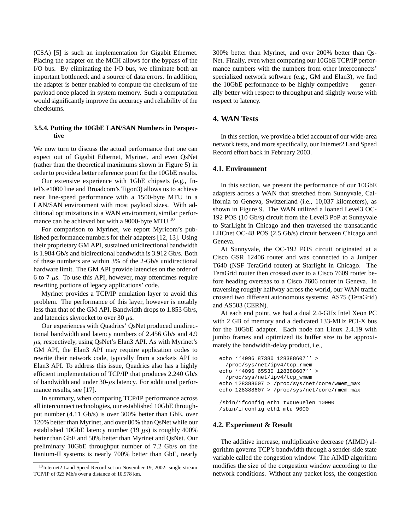(CSA) [5] is such an implementation for Gigabit Ethernet. Placing the adapter on the MCH allows for the bypass of the I/O bus. By eliminating the I/O bus, we eliminate both an important bottleneck and a source of data errors. In addition, the adapter is better enabled to compute the checksum of the payload once placed in system memory. Such a computation would significantly improve the accuracy and reliability of the checksums.

## **3.5.4. Putting the 10GbE LAN/SAN Numbers in Perspective**

We now turn to discuss the actual performance that one can expect out of Gigabit Ethernet, Myrinet, and even QsNet (rather than the theoretical maximums shown in Figure 5) in order to provide a better reference point for the 10GbE results.

Our extensive experience with 1GbE chipsets (e.g., Intel's e1000 line and Broadcom's Tigon3) allows us to achieve near line-speed performance with a 1500-byte MTU in a LAN/SAN environment with most payload sizes. With additional optimizations in a WAN environment, similar performance can be achieved but with a 9000-byte MTU.<sup>10</sup>

For comparison to Myrinet, we report Myricom's published performance numbers for their adapters [12, 13]. Using their proprietary GM API, sustained unidirectional bandwidth is 1.984 Gb/s and bidirectional bandwidth is 3.912 Gb/s. Both of these numbers are within 3% of the 2-Gb/s unidirectional hardware limit. The GM API provide latencies on the order of 6 to 7  $\mu$ s. To use this API, however, may oftentimes require rewriting portions of legacy applications' code.

Myrinet provides a TCP/IP emulation layer to avoid this problem. The performance of this layer, however is notably less than that of the GM API. Bandwidth drops to 1.853 Gb/s, and latencies skyrocket to over 30  $\mu$ s.

Our experiences with Quadrics' QsNet produced unidirectional bandwidth and latency numbers of 2.456 Gb/s and 4.9  $\mu$ s, respectively, using QsNet's Elan3 API. As with Myrinet's GM API, the Elan3 API may require application codes to rewrite their network code, typically from a sockets API to Elan3 API. To address this issue, Quadrics also has a highly efficient implementation of TCP/IP that produces 2.240 Gb/s of bandwidth and under  $30 - \mu s$  latency. For additional performance results, see [17].

In summary, when comparing TCP/IP performance across all interconnect technologies, our established 10GbE throughput number (4.11 Gb/s) is over 300% better than GbE, over 120% better than Myrinet, and over 80% than QsNet while our established 10GbE latency number (19  $\mu$ s) is roughly 400% better than GbE and 50% better than Myrinet and QsNet. Our preliminary 10GbE throughput number of 7.2 Gb/s on the Itanium-II systems is nearly 700% better than GbE, nearly

300% better than Myrinet, and over 200% better than Qs-Net. Finally, even when comparing our 10GbE TCP/IP performance numbers with the numbers from other interconnects' specialized network software (e.g., GM and Elan3), we find the 10GbE performance to be highly competitive — generally better with respect to throughput and slightly worse with respect to latency.

# **4. WAN Tests**

In this section, we provide a brief account of our wide-area network tests, and more specifically, our Internet2 Land Speed Record effort back in February 2003.

## **4.1. Environment**

In this section, we present the performance of our 10GbE adapters across a WAN that stretched from Sunnyvale, California to Geneva, Switzerland (i.e., 10,037 kilometers), as shown in Figure 9. The WAN utilized a loaned Level3 OC-192 POS (10 Gb/s) circuit from the Level3 PoP at Sunnyvale to StarLight in Chicago and then traversed the transatlantic LHCnet OC-48 POS (2.5 Gb/s) circuit between Chicago and Geneva.

At Sunnyvale, the OC-192 POS circuit originated at a Cisco GSR 12406 router and was connected to a Juniper T640 (NSF TeraGrid router) at Starlight in Chicago. The TeraGrid router then crossed over to a Cisco 7609 router before heading overseas to a Cisco 7606 router in Geneva. In traversing roughly halfway across the world, our WAN traffic crossed two different autonomous systems: AS75 (TeraGrid) and AS503 (CERN).

At each end point, we had a dual 2.4-GHz Intel Xeon PC with 2 GB of memory and a dedicated 133-MHz PCI-X bus for the 10GbE adapter. Each node ran Linux 2.4.19 with jumbo frames and optimized its buffer size to be approximately the bandwidth-delay product, i.e.,

```
echo ''4096 87380 128388607'' >
  /proc/sys/net/ipv4/tcp_rmem
echo ''4096 65530 128388607'' >
  /proc/sys/net/ipv4/tcp_wmem
echo 128388607 > /proc/sys/net/core/wmem_max
echo 128388607 > /proc/sys/net/core/rmem_max
```

```
/sbin/ifconfig eth1 txqueuelen 10000
/sbin/ifconfig eth1 mtu 9000
```
#### **4.2. Experiment & Result**

The additive increase, multiplicative decrease (AIMD) algorithm governs TCP's bandwidth through a sender-side state variable called the congestion window. The AIMD algorithm modifies the size of the congestion window according to the network conditions. Without any packet loss, the congestion

<sup>&</sup>lt;sup>10</sup>Internet2 Land Speed Record set on November 19, 2002: single-stream TCP/IP of 923 Mb/s over a distance of 10,978 km.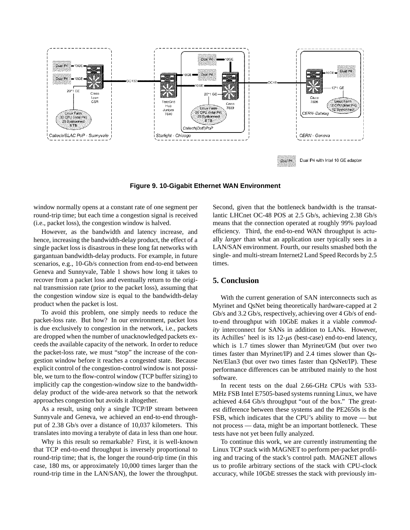

**Figure 9. 10-Gigabit Ethernet WAN Environment**

window normally opens at a constant rate of one segment per round-trip time; but each time a congestion signal is received (i.e., packet loss), the congestion window is halved.

However, as the bandwidth and latency increase, and hence, increasing the bandwidth-delay product, the effect of a single packet loss is disastrous in these long fat networks with gargantuan bandwidth-delay products. For example, in future scenarios, e.g., 10-Gb/s connection from end-to-end between Geneva and Sunnyvale, Table 1 shows how long it takes to recover from a packet loss and eventually return to the original transmission rate (prior to the packet loss), assuming that the congestion window size is equal to the bandwidth-delay product when the packet is lost.

To avoid this problem, one simply needs to reduce the packet-loss rate. But how? In our environment, packet loss is due exclusively to congestion in the network, i.e., packets are dropped when the number of unacknowledged packets exceeds the available capacity of the network. In order to reduce the packet-loss rate, we must "stop" the increase of the congestion window before it reaches a congested state. Because explicit control of the congestion-control window is not possible, we turn to the flow-control window (TCP buffer sizing) to implicitly cap the congestion-window size to the bandwidthdelay product of the wide-area network so that the network approaches congestion but avoids it altogether.

As a result, using only a single TCP/IP stream between Sunnyvale and Geneva, we achieved an end-to-end throughput of 2.38 Gb/s over a distance of 10,037 kilometers. This translates into moving a terabyte of data in less than one hour.

Why is this result so remarkable? First, it is well-known that TCP end-to-end throughput is inversely proportional to round-trip time; that is, the longer the round-trip time (in this case, 180 ms, or approximately 10,000 times larger than the round-trip time in the LAN/SAN), the lower the throughput. Second, given that the bottleneck bandwidth is the transatlantic LHCnet OC-48 POS at 2.5 Gb/s, achieving 2.38 Gb/s means that the connection operated at roughly 99% payload efficiency. Third, the end-to-end WAN throughput is actually *larger* than what an application user typically sees in a LAN/SAN environment. Fourth, our results smashed both the single- and multi-stream Internet2 Land Speed Records by 2.5 times.

# **5. Conclusion**

With the current generation of SAN interconnects such as Myrinet and QsNet being theoretically hardware-capped at 2 Gb/s and 3.2 Gb/s, respectively, achieving over 4 Gb/s of endto-end throughput with 10GbE makes it a viable *commodity* interconnect for SANs in addition to LANs. However, its Achilles' heel is its  $12-\mu s$  (best-case) end-to-end latency, which is 1.7 times slower than Myrinet/GM (but over two times faster than Myrinet/IP) and 2.4 times slower than Qs-Net/Elan3 (but over two times faster than QsNet/IP). These performance differences can be attributed mainly to the host software.

In recent tests on the dual 2.66-GHz CPUs with 533- MHz FSB Intel E7505-based systems running Linux, we have achieved 4.64 Gb/s throughput "out of the box." The greatest difference between these systems and the PE2650s is the FSB, which indicates that the CPU's ability to move — but not process — data, might be an important bottleneck. These tests have not yet been fully analyzed.

To continue this work, we are currently instrumenting the Linux TCP stack with MAGNET to perform per-packet profiling and tracing of the stack's control path. MAGNET allows us to profile arbitrary sections of the stack with CPU-clock accuracy, while 10GbE stresses the stack with previously im-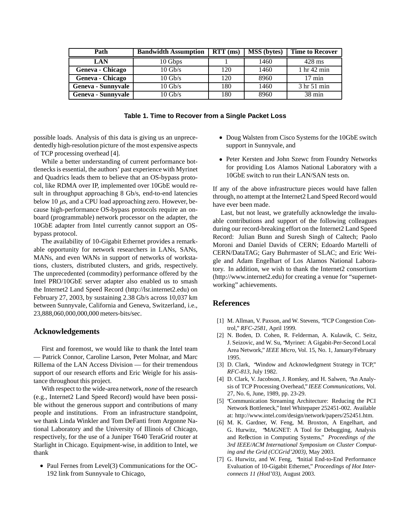| Path                      | <b>Bandwidth Assumption</b> | $RTT$ (ms) | <b>MSS</b> (bytes) | <b>Time to Recover</b> |  |
|---------------------------|-----------------------------|------------|--------------------|------------------------|--|
| <b>LAN</b>                | 10 Gbps                     |            | 1460               | $428$ ms               |  |
| Geneva - Chicago          | $10 \text{ Gb/s}$           | 120        | 1460               | 1 <sub>hr</sub> 42 min |  |
| Geneva - Chicago          | $10 \text{ Gb/s}$           | 120        | 8960               | $17 \text{ min}$       |  |
| <b>Geneva - Sunnyvale</b> | $10 \text{ Gb/s}$           | 180        | 1460               | 3 hr 51 min            |  |
| <b>Geneva - Sunnyvale</b> | $10 \text{ Gb/s}$           | 180        | 8960               | $38 \text{ min}$       |  |

|  |  | Table 1. Time to Recover from a Single Packet Loss |  |  |  |  |
|--|--|----------------------------------------------------|--|--|--|--|
|--|--|----------------------------------------------------|--|--|--|--|

possible loads. Analysis of this data is giving us an unprecedentedly high-resolution picture of the most expensive aspects of TCP processing overhead [4].

While a better understanding of current performance bottlenecksis essential, the authors' past experience with Myrinet and Quadrics leads them to believe that an OS-bypass protocol, like RDMA over IP, implemented over 10GbE would result in throughput approaching 8 Gb/s, end-to-end latencies below 10  $\mu$ s, and a CPU load approaching zero. However, because high-performance OS-bypass protocols require an onboard (programmable) network processor on the adapter, the 10GbE adapter from Intel currently cannot support an OSbypass protocol.

The availability of 10-Gigabit Ethernet provides a remarkable opportunity for network researchers in LANs, SANs, MANs, and even WANs in support of networks of workstations, clusters, distributed clusters, and grids, respectively. The unprecedented (commodity) performance offered by the Intel PRO/10GbE server adapter also enabled us to smash the Internet2 Land Speed Record (http://lsr.internet2.edu) on February 27, 2003, by sustaining 2.38 Gb/s across 10,037 km between Sunnyvale, California and Geneva, Switzerland, i.e., 23,888,060,000,000,000 meters-bits/sec.

## **Acknowledgements**

First and foremost, we would like to thank the Intel team — Patrick Connor, Caroline Larson, Peter Molnar, and Marc Rillema of the LAN Access Division — for their tremendous support of our research efforts and Eric Weigle for his assistance throughout this project.

With respect to the wide-area network, *none* of the research (e.g., Internet2 Land Speed Record) would have been possible without the generous support and contributions of many people and institutions. From an infrastructure standpoint, we thank Linda Winkler and Tom DeFanti from Argonne National Laboratory and the University of Illinois of Chicago, respectively, for the use of a Juniper T640 TeraGrid router at Starlight in Chicago. Equipment-wise, in addition to Intel, we thank

 Paul Fernes from Level(3) Communications for the OC-192 link from Sunnyvale to Chicago,

- Doug Walsten from Cisco Systems for the 10GbE switch support in Sunnyvale, and
- Peter Kersten and John Szewc from Foundry Networks for providing Los Alamos National Laboratory with a 10GbE switch to run their LAN/SAN tests on.

If any of the above infrastructure pieces would have fallen through, no attempt at the Internet2 Land Speed Record would have ever been made.

Last, but not least, we gratefully acknowledge the invaluable contributions and support of the following colleagues during our record-breaking effort on the Internet2 Land Speed Record: Julian Bunn and Suresh Singh of Caltech; Paolo Moroni and Daniel Davids of CERN; Edoardo Martelli of CERN/DataTAG; Gary Buhrmaster of SLAC; and Eric Weigle and Adam Engelhart of Los Alamos National Laboratory. In addition, we wish to thank the Internet2 consortium (http://www.internet2.edu) for creating a venue for "supernetworking" achievements.

# **References**

- [1] M. Allman, V. Paxson, and W. Stevens, "TCP Congestion Control," *RFC-2581*, April 1999.
- [2] N. Boden, D. Cohen, R. Felderman, A. Kulawik, C. Seitz, J. Seizovic, and W. Su, "Myrinet: A Gigabit-Per-Second Local Area Network," *IEEE Micro*, Vol. 15, No. 1, January/February 1995.
- [3] D. Clark, "Window and Acknowledgment Strategy in TCP," *RFC-813*, July 1982.
- [4] D. Clark, V. Jacobson, J. Romkey, and H. Salwen, "An Analysis of TCP Processing Overhead," *IEEE Communications*, Vol. 27, No. 6, June, 1989, pp. 23-29.
- [5] "Communication Streaming Architecture: Reducing the PCI Network Bottleneck," Intel Whitepaper 252451-002. Available at: http://www.intel.com/design/network/papers/252451.htm.
- [6] M. K. Gardner, W. Feng, M. Broxton, A Engelhart, and G. Hurwitz, "MAGNET: A Tool for Debugging, Analysis and Reflection in Computing Systems," *Proceedings of the 3rd IEEE/ACM International Symposium on Cluster Computing and the Grid (CCGrid'2003)*, May 2003.
- [7] G. Hurwitz, and W. Feng, "Initial End-to-End Performance Evaluation of 10-Gigabit Ethernet," *Proceedings of Hot Interconnects 11 (HotI'03)*, August 2003.